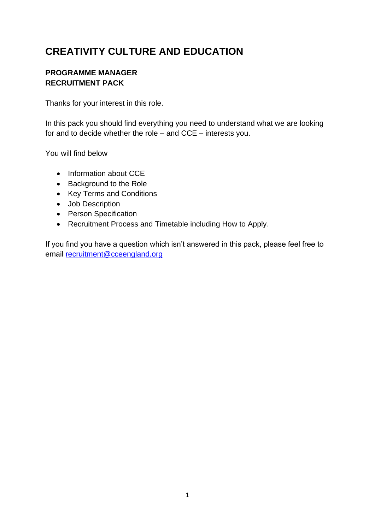# **CREATIVITY CULTURE AND EDUCATION**

# **PROGRAMME MANAGER RECRUITMENT PACK**

Thanks for your interest in this role.

In this pack you should find everything you need to understand what we are looking for and to decide whether the role – and CCE – interests you.

You will find below

- Information about CCE
- Background to the Role
- Key Terms and Conditions
- Job Description
- Person Specification
- Recruitment Process and Timetable including How to Apply.

If you find you have a question which isn't answered in this pack, please feel free to email [recruitment@cceengland.org](mailto:recruitment@cceengland.org)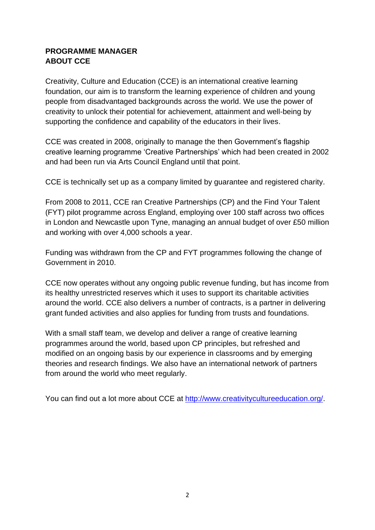# **PROGRAMME MANAGER ABOUT CCE**

Creativity, Culture and Education (CCE) is an international creative learning foundation, our aim is to transform the learning experience of children and young people from disadvantaged backgrounds across the world. We use the power of creativity to unlock their potential for achievement, attainment and well-being by supporting the confidence and capability of the educators in their lives.

CCE was created in 2008, originally to manage the then Government's flagship creative learning programme 'Creative Partnerships' which had been created in 2002 and had been run via Arts Council England until that point.

CCE is technically set up as a company limited by guarantee and registered charity.

From 2008 to 2011, CCE ran Creative Partnerships (CP) and the Find Your Talent (FYT) pilot programme across England, employing over 100 staff across two offices in London and Newcastle upon Tyne, managing an annual budget of over £50 million and working with over 4,000 schools a year.

Funding was withdrawn from the CP and FYT programmes following the change of Government in 2010.

CCE now operates without any ongoing public revenue funding, but has income from its healthy unrestricted reserves which it uses to support its charitable activities around the world. CCE also delivers a number of contracts, is a partner in delivering grant funded activities and also applies for funding from trusts and foundations.

With a small staff team, we develop and deliver a range of creative learning programmes around the world, based upon CP principles, but refreshed and modified on an ongoing basis by our experience in classrooms and by emerging theories and research findings. We also have an international network of partners from around the world who meet regularly.

You can find out a lot more about CCE at [http://www.creativitycultureeducation.org/.](http://www.creativitycultureeducation.org/)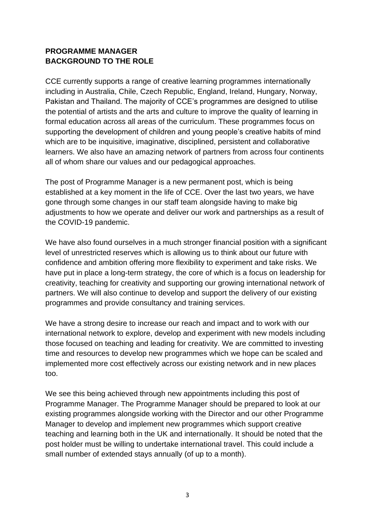# **PROGRAMME MANAGER BACKGROUND TO THE ROLE**

CCE currently supports a range of creative learning programmes internationally including in Australia, Chile, Czech Republic, England, Ireland, Hungary, Norway, Pakistan and Thailand. The majority of CCE's programmes are designed to utilise the potential of artists and the arts and culture to improve the quality of learning in formal education across all areas of the curriculum. These programmes focus on supporting the development of children and young people's creative habits of mind which are to be inquisitive, imaginative, disciplined, persistent and collaborative learners. We also have an amazing network of partners from across four continents all of whom share our values and our pedagogical approaches.

The post of Programme Manager is a new permanent post, which is being established at a key moment in the life of CCE. Over the last two years, we have gone through some changes in our staff team alongside having to make big adjustments to how we operate and deliver our work and partnerships as a result of the COVID-19 pandemic.

We have also found ourselves in a much stronger financial position with a significant level of unrestricted reserves which is allowing us to think about our future with confidence and ambition offering more flexibility to experiment and take risks. We have put in place a long-term strategy, the core of which is a focus on leadership for creativity, teaching for creativity and supporting our growing international network of partners. We will also continue to develop and support the delivery of our existing programmes and provide consultancy and training services.

We have a strong desire to increase our reach and impact and to work with our international network to explore, develop and experiment with new models including those focused on teaching and leading for creativity. We are committed to investing time and resources to develop new programmes which we hope can be scaled and implemented more cost effectively across our existing network and in new places too.

We see this being achieved through new appointments including this post of Programme Manager. The Programme Manager should be prepared to look at our existing programmes alongside working with the Director and our other Programme Manager to develop and implement new programmes which support creative teaching and learning both in the UK and internationally. It should be noted that the post holder must be willing to undertake international travel. This could include a small number of extended stays annually (of up to a month).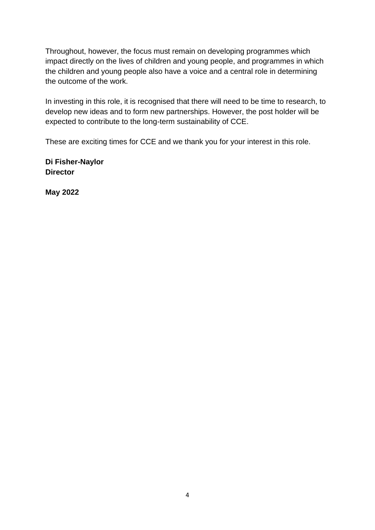Throughout, however, the focus must remain on developing programmes which impact directly on the lives of children and young people, and programmes in which the children and young people also have a voice and a central role in determining the outcome of the work.

In investing in this role, it is recognised that there will need to be time to research, to develop new ideas and to form new partnerships. However, the post holder will be expected to contribute to the long-term sustainability of CCE.

These are exciting times for CCE and we thank you for your interest in this role.

**Di Fisher-Naylor Director** 

**May 2022**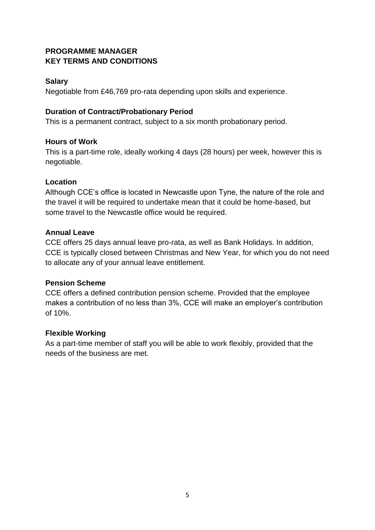# **PROGRAMME MANAGER KEY TERMS AND CONDITIONS**

### **Salary**

Negotiable from £46,769 pro-rata depending upon skills and experience.

### **Duration of Contract/Probationary Period**

This is a permanent contract, subject to a six month probationary period.

#### **Hours of Work**

This is a part-time role, ideally working 4 days (28 hours) per week, however this is negotiable.

### **Location**

Although CCE's office is located in Newcastle upon Tyne, the nature of the role and the travel it will be required to undertake mean that it could be home-based, but some travel to the Newcastle office would be required.

#### **Annual Leave**

CCE offers 25 days annual leave pro-rata, as well as Bank Holidays. In addition, CCE is typically closed between Christmas and New Year, for which you do not need to allocate any of your annual leave entitlement.

## **Pension Scheme**

CCE offers a defined contribution pension scheme. Provided that the employee makes a contribution of no less than 3%, CCE will make an employer's contribution of 10%.

#### **Flexible Working**

As a part-time member of staff you will be able to work flexibly, provided that the needs of the business are met.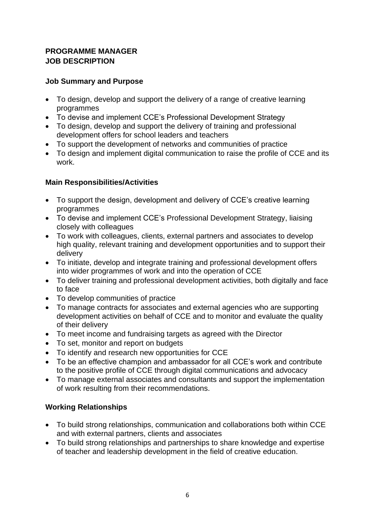# **PROGRAMME MANAGER JOB DESCRIPTION**

# **Job Summary and Purpose**

- To design, develop and support the delivery of a range of creative learning programmes
- To devise and implement CCE's Professional Development Strategy
- To design, develop and support the delivery of training and professional development offers for school leaders and teachers
- To support the development of networks and communities of practice
- To design and implement digital communication to raise the profile of CCE and its work.

# **Main Responsibilities/Activities**

- To support the design, development and delivery of CCE's creative learning programmes
- To devise and implement CCE's Professional Development Strategy, liaising closely with colleagues
- To work with colleagues, clients, external partners and associates to develop high quality, relevant training and development opportunities and to support their delivery
- To initiate, develop and integrate training and professional development offers into wider programmes of work and into the operation of CCE
- To deliver training and professional development activities, both digitally and face to face
- To develop communities of practice
- To manage contracts for associates and external agencies who are supporting development activities on behalf of CCE and to monitor and evaluate the quality of their delivery
- To meet income and fundraising targets as agreed with the Director
- To set, monitor and report on budgets
- To identify and research new opportunities for CCE
- To be an effective champion and ambassador for all CCE's work and contribute to the positive profile of CCE through digital communications and advocacy
- To manage external associates and consultants and support the implementation of work resulting from their recommendations.

# **Working Relationships**

- To build strong relationships, communication and collaborations both within CCE and with external partners, clients and associates
- To build strong relationships and partnerships to share knowledge and expertise of teacher and leadership development in the field of creative education.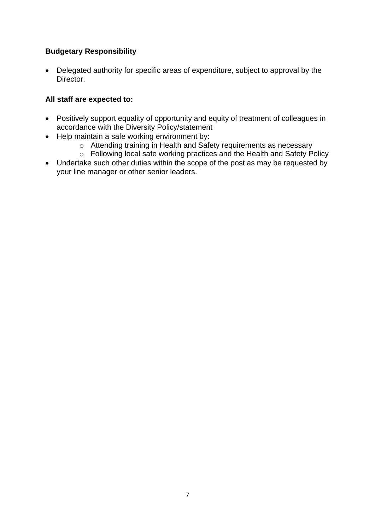# **Budgetary Responsibility**

• Delegated authority for specific areas of expenditure, subject to approval by the Director.

### **All staff are expected to:**

- Positively support equality of opportunity and equity of treatment of colleagues in accordance with the Diversity Policy/statement
- Help maintain a safe working environment by:
	- o Attending training in Health and Safety requirements as necessary
	- o Following local safe working practices and the Health and Safety Policy
- Undertake such other duties within the scope of the post as may be requested by your line manager or other senior leaders.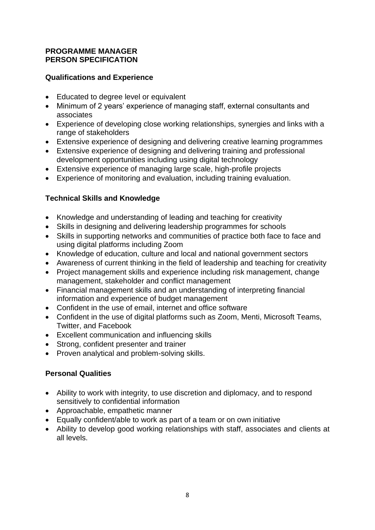### **PROGRAMME MANAGER PERSON SPECIFICATION**

### **Qualifications and Experience**

- Educated to degree level or equivalent
- Minimum of 2 years' experience of managing staff, external consultants and associates
- Experience of developing close working relationships, synergies and links with a range of stakeholders
- Extensive experience of designing and delivering creative learning programmes
- Extensive experience of designing and delivering training and professional development opportunities including using digital technology
- Extensive experience of managing large scale, high-profile projects
- Experience of monitoring and evaluation, including training evaluation.

## **Technical Skills and Knowledge**

- Knowledge and understanding of leading and teaching for creativity
- Skills in designing and delivering leadership programmes for schools
- Skills in supporting networks and communities of practice both face to face and using digital platforms including Zoom
- Knowledge of education, culture and local and national government sectors
- Awareness of current thinking in the field of leadership and teaching for creativity
- Project management skills and experience including risk management, change management, stakeholder and conflict management
- Financial management skills and an understanding of interpreting financial information and experience of budget management
- Confident in the use of email, internet and office software
- Confident in the use of digital platforms such as Zoom, Menti, Microsoft Teams, Twitter, and Facebook
- Excellent communication and influencing skills
- Strong, confident presenter and trainer
- Proven analytical and problem-solving skills.

## **Personal Qualities**

- Ability to work with integrity, to use discretion and diplomacy, and to respond sensitively to confidential information
- Approachable, empathetic manner
- Equally confident/able to work as part of a team or on own initiative
- Ability to develop good working relationships with staff, associates and clients at all levels.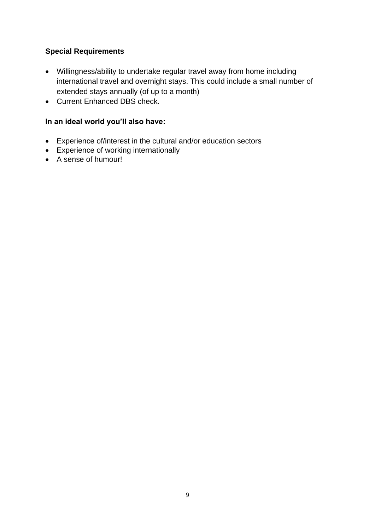# **Special Requirements**

- Willingness/ability to undertake regular travel away from home including international travel and overnight stays. This could include a small number of extended stays annually (of up to a month)
- Current Enhanced DBS check.

# **In an ideal world you'll also have:**

- Experience of/interest in the cultural and/or education sectors
- Experience of working internationally
- A sense of humour!